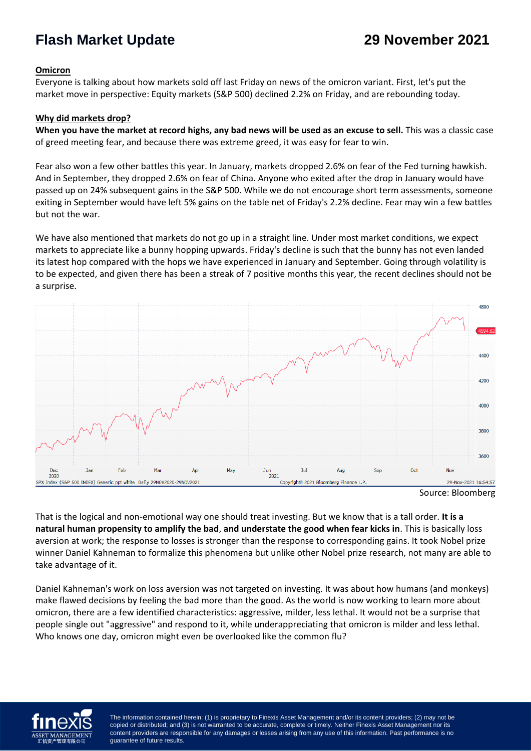## **Flash Market Update 29 November 2021**

## **Omicron**

Everyone is talking about how markets sold off last Friday on news of the omicron variant. First, let's put the market move in perspective: Equity markets (S&P 500) declined 2.2% on Friday, and are rebounding today.

## **Why did markets drop?**

**When you have the market at record highs, any bad news will be used as an excuse to sell.** This was a classic case of greed meeting fear, and because there was extreme greed, it was easy for fear to win.

Fear also won a few other battles this year. In January, markets dropped 2.6% on fear of the Fed turning hawkish. And in September, they dropped 2.6% on fear of China. Anyone who exited after the drop in January would have passed up on 24% subsequent gains in the S&P 500. While we do not encourage short term assessments, someone exiting in September would have left 5% gains on the table net of Friday's 2.2% decline. Fear may win a few battles but not the war.

We have also mentioned that markets do not go up in a straight line. Under most market conditions, we expect markets to appreciate like a bunny hopping upwards. Friday's decline is such that the bunny has not even landed its latest hop compared with the hops we have experienced in January and September. Going through volatility is to be expected, and given there has been a streak of 7 positive months this year, the recent declines should not be a surprise.





That is the logical and non-emotional way one should treat investing. But we know that is a tall order. **It is a natural human propensity to amplify the bad**, **and understate the good when fear kicks in**. This is basically loss aversion at work; the response to losses is stronger than the response to corresponding gains. It took Nobel prize winner Daniel Kahneman to formalize this phenomena but unlike other Nobel prize research, not many are able to take advantage of it.

Daniel Kahneman's work on loss aversion was not targeted on investing. It was about how humans (and monkeys) make flawed decisions by feeling the bad more than the good. As the world is now working to learn more about omicron, there are a few identified characteristics: aggressive, milder, less lethal. It would not be a surprise that people single out "aggressive" and respond to it, while underappreciating that omicron is milder and less lethal. Who knows one day, omicron might even be overlooked like the common flu?



copied or distributed; and (3) is not warranted to be accurate, complete or timely. Neither Finexis Asset Management nor its  $\epsilon$  is not warranted to be accurated to be accurated to be accurated to be accurated to be accurated to be accurated to be accurated to be accurated to be accurated to be accurated to be accurated to be accurated to be a content providers are responsible for any damages or losses arising from any use of this information. Past performance is no<br>quarantee of future results The information contained herein: (1) is proprietary to Finexis Asset Management and/or its content providers; (2) may not be guarantee of future results.